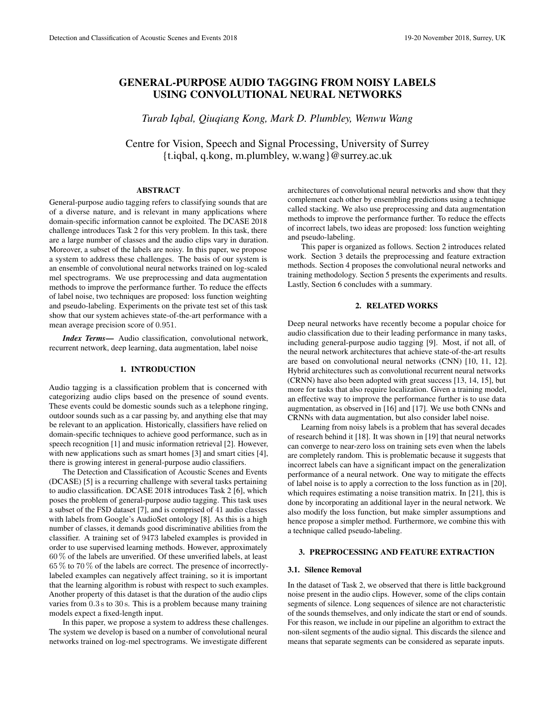# GENERAL-PURPOSE AUDIO TAGGING FROM NOISY LABELS USING CONVOLUTIONAL NEURAL NETWORKS

*Turab Iqbal, Qiuqiang Kong, Mark D. Plumbley, Wenwu Wang*

Centre for Vision, Speech and Signal Processing, University of Surrey {t.iqbal, q.kong, m.plumbley, w.wang}@surrey.ac.uk

#### ABSTRACT

General-purpose audio tagging refers to classifying sounds that are of a diverse nature, and is relevant in many applications where domain-specific information cannot be exploited. The DCASE 2018 challenge introduces Task 2 for this very problem. In this task, there are a large number of classes and the audio clips vary in duration. Moreover, a subset of the labels are noisy. In this paper, we propose a system to address these challenges. The basis of our system is an ensemble of convolutional neural networks trained on log-scaled mel spectrograms. We use preprocessing and data augmentation methods to improve the performance further. To reduce the effects of label noise, two techniques are proposed: loss function weighting and pseudo-labeling. Experiments on the private test set of this task show that our system achieves state-of-the-art performance with a mean average precision score of 0.951.

*Index Terms*— Audio classification, convolutional network, recurrent network, deep learning, data augmentation, label noise

# 1. INTRODUCTION

Audio tagging is a classification problem that is concerned with categorizing audio clips based on the presence of sound events. These events could be domestic sounds such as a telephone ringing, outdoor sounds such as a car passing by, and anything else that may be relevant to an application. Historically, classifiers have relied on domain-specific techniques to achieve good performance, such as in speech recognition [1] and music information retrieval [2]. However, with new applications such as smart homes [3] and smart cities [4], there is growing interest in general-purpose audio classifiers.

The Detection and Classification of Acoustic Scenes and Events (DCASE) [5] is a recurring challenge with several tasks pertaining to audio classification. DCASE 2018 introduces Task 2 [6], which poses the problem of general-purpose audio tagging. This task uses a subset of the FSD dataset [7], and is comprised of 41 audio classes with labels from Google's AudioSet ontology [8]. As this is a high number of classes, it demands good discriminative abilities from the classifier. A training set of 9473 labeled examples is provided in order to use supervised learning methods. However, approximately 60 % of the labels are unverified. Of these unverified labels, at least 65 % to 70 % of the labels are correct. The presence of incorrectlylabeled examples can negatively affect training, so it is important that the learning algorithm is robust with respect to such examples. Another property of this dataset is that the duration of the audio clips varies from 0.3 s to 30 s. This is a problem because many training models expect a fixed-length input.

In this paper, we propose a system to address these challenges. The system we develop is based on a number of convolutional neural networks trained on log-mel spectrograms. We investigate different

architectures of convolutional neural networks and show that they complement each other by ensembling predictions using a technique called stacking. We also use preprocessing and data augmentation methods to improve the performance further. To reduce the effects of incorrect labels, two ideas are proposed: loss function weighting and pseudo-labeling.

This paper is organized as follows. Section 2 introduces related work. Section 3 details the preprocessing and feature extraction methods. Section 4 proposes the convolutional neural networks and training methodology. Section 5 presents the experiments and results. Lastly, Section 6 concludes with a summary.

# 2. RELATED WORKS

Deep neural networks have recently become a popular choice for audio classification due to their leading performance in many tasks, including general-purpose audio tagging [9]. Most, if not all, of the neural network architectures that achieve state-of-the-art results are based on convolutional neural networks (CNN) [10, 11, 12]. Hybrid architectures such as convolutional recurrent neural networks (CRNN) have also been adopted with great success [13, 14, 15], but more for tasks that also require localization. Given a training model, an effective way to improve the performance further is to use data augmentation, as observed in [16] and [17]. We use both CNNs and CRNNs with data augmentation, but also consider label noise.

Learning from noisy labels is a problem that has several decades of research behind it [18]. It was shown in [19] that neural networks can converge to near-zero loss on training sets even when the labels are completely random. This is problematic because it suggests that incorrect labels can have a significant impact on the generalization performance of a neural network. One way to mitigate the effects of label noise is to apply a correction to the loss function as in [20], which requires estimating a noise transition matrix. In [21], this is done by incorporating an additional layer in the neural network. We also modify the loss function, but make simpler assumptions and hence propose a simpler method. Furthermore, we combine this with a technique called pseudo-labeling.

# 3. PREPROCESSING AND FEATURE EXTRACTION

## 3.1. Silence Removal

In the dataset of Task 2, we observed that there is little background noise present in the audio clips. However, some of the clips contain segments of silence. Long sequences of silence are not characteristic of the sounds themselves, and only indicate the start or end of sounds. For this reason, we include in our pipeline an algorithm to extract the non-silent segments of the audio signal. This discards the silence and means that separate segments can be considered as separate inputs.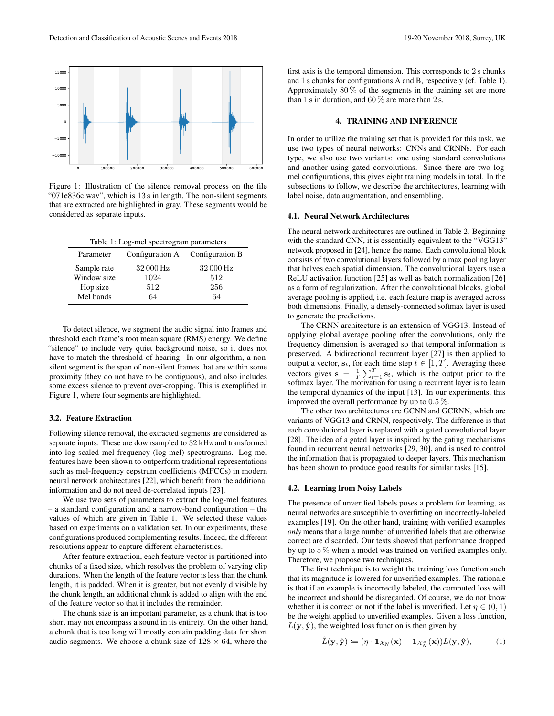

Figure 1: Illustration of the silence removal process on the file "071e836c.wav", which is 13 s in length. The non-silent segments that are extracted are highlighted in gray. These segments would be considered as separate inputs.

| Parameter   | Configuration A Configuration B |           |
|-------------|---------------------------------|-----------|
| Sample rate | 32000 Hz                        | 32 000 Hz |
| Window size | 1024                            | 512       |
| Hop size    | 512                             | 256       |
| Mel bands   | 64                              | 64        |

To detect silence, we segment the audio signal into frames and threshold each frame's root mean square (RMS) energy. We define "silence" to include very quiet background noise, so it does not have to match the threshold of hearing. In our algorithm, a nonsilent segment is the span of non-silent frames that are within some proximity (they do not have to be contiguous), and also includes some excess silence to prevent over-cropping. This is exemplified in Figure 1, where four segments are highlighted.

### 3.2. Feature Extraction

Following silence removal, the extracted segments are considered as separate inputs. These are downsampled to 32 kHz and transformed into log-scaled mel-frequency (log-mel) spectrograms. Log-mel features have been shown to outperform traditional representations such as mel-frequency cepstrum coefficients (MFCCs) in modern neural network architectures [22], which benefit from the additional information and do not need de-correlated inputs [23].

We use two sets of parameters to extract the log-mel features – a standard configuration and a narrow-band configuration – the values of which are given in Table 1. We selected these values based on experiments on a validation set. In our experiments, these configurations produced complementing results. Indeed, the different resolutions appear to capture different characteristics.

After feature extraction, each feature vector is partitioned into chunks of a fixed size, which resolves the problem of varying clip durations. When the length of the feature vector is less than the chunk length, it is padded. When it is greater, but not evenly divisible by the chunk length, an additional chunk is added to align with the end of the feature vector so that it includes the remainder.

The chunk size is an important parameter, as a chunk that is too short may not encompass a sound in its entirety. On the other hand, a chunk that is too long will mostly contain padding data for short audio segments. We choose a chunk size of  $128 \times 64$ , where the

first axis is the temporal dimension. This corresponds to  $2s$  chunks and 1 s chunks for configurations A and B, respectively (cf. Table 1). Approximately  $80\%$  of the segments in the training set are more than 1 s in duration, and 60  $\%$  are more than 2 s.

#### 4. TRAINING AND INFERENCE

In order to utilize the training set that is provided for this task, we use two types of neural networks: CNNs and CRNNs. For each type, we also use two variants: one using standard convolutions and another using gated convolutions. Since there are two logmel configurations, this gives eight training models in total. In the subsections to follow, we describe the architectures, learning with label noise, data augmentation, and ensembling.

#### 4.1. Neural Network Architectures

The neural network architectures are outlined in Table 2. Beginning with the standard CNN, it is essentially equivalent to the "VGG13" network proposed in [24], hence the name. Each convolutional block consists of two convolutional layers followed by a max pooling layer that halves each spatial dimension. The convolutional layers use a ReLU activation function [25] as well as batch normalization [26] as a form of regularization. After the convolutional blocks, global average pooling is applied, i.e. each feature map is averaged across both dimensions. Finally, a densely-connected softmax layer is used to generate the predictions.

The CRNN architecture is an extension of VGG13. Instead of applying global average pooling after the convolutions, only the frequency dimension is averaged so that temporal information is preserved. A bidirectional recurrent layer [27] is then applied to output a vector,  $s_t$ , for each time step  $t \in [1, T]$ . Averaging these vectors gives  $\mathbf{s} = \frac{1}{T} \sum_{t=1}^{T} \mathbf{s}_t$ , which is the output prior to the softmax layer. The motivation for using a recurrent layer is to learn the temporal dynamics of the input [13]. In our experiments, this improved the overall performance by up to 0.5 %.

The other two architectures are GCNN and GCRNN, which are variants of VGG13 and CRNN, respectively. The difference is that each convolutional layer is replaced with a gated convolutional layer [28]. The idea of a gated layer is inspired by the gating mechanisms found in recurrent neural networks [29, 30], and is used to control the information that is propagated to deeper layers. This mechanism has been shown to produce good results for similar tasks [15].

## 4.2. Learning from Noisy Labels

The presence of unverified labels poses a problem for learning, as neural networks are susceptible to overfitting on incorrectly-labeled examples [19]. On the other hand, training with verified examples *only* means that a large number of unverified labels that are otherwise correct are discarded. Our tests showed that performance dropped by up to 5 % when a model was trained on verified examples only. Therefore, we propose two techniques.

The first technique is to weight the training loss function such that its magnitude is lowered for unverified examples. The rationale is that if an example is incorrectly labeled, the computed loss will be incorrect and should be disregarded. Of course, we do not know whether it is correct or not if the label is unverified. Let  $\eta \in (0, 1)$ be the weight applied to unverified examples. Given a loss function,  $L(\mathbf{y}, \hat{\mathbf{y}})$ , the weighted loss function is then given by

$$
\tilde{L}(\mathbf{y}, \hat{\mathbf{y}}) := (\eta \cdot \mathbb{1}_{\mathcal{X}_N}(\mathbf{x}) + \mathbb{1}_{\mathcal{X}_N^c}(\mathbf{x})) L(\mathbf{y}, \hat{\mathbf{y}}),
$$
(1)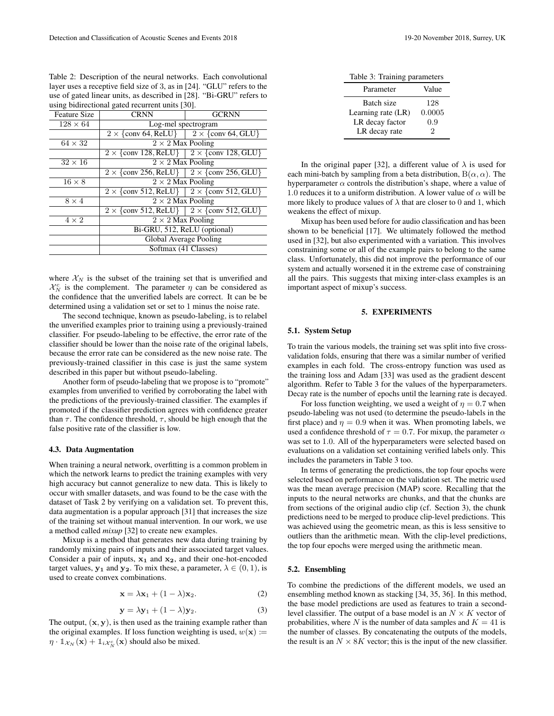Table 2: Description of the neural networks. Each convolutional layer uses a receptive field size of 3, as in [24]. "GLU" refers to the use of gated linear units, as described in [28]. "Bi-GRU" refers to using bidirectional gated recurrent units [30].

| <b>Feature Size</b> | <b>CRNN</b>                                                                                      | <b>GCRNN</b> |  |  |  |
|---------------------|--------------------------------------------------------------------------------------------------|--------------|--|--|--|
| $128 \times 64$     | Log-mel spectrogram                                                                              |              |  |  |  |
|                     | $2 \times$ {conv 64, ReLU} $\left[ 2 \times$ {conv 64, GLU}                                      |              |  |  |  |
| $64 \times 32$      | $2 \times 2$ Max Pooling                                                                         |              |  |  |  |
|                     | $2 \times$ {conv 128, ReLU} $\left  2 \times$ {conv 128, GLU}                                    |              |  |  |  |
| $32 \times 16$      | $2 \times 2$ Max Pooling                                                                         |              |  |  |  |
|                     | $2 \times$ {conv 256, ReLU} $\left[ 2 \times$ {conv 256, GLU}                                    |              |  |  |  |
| $16 \times 8$       | $2 \times 2$ Max Pooling                                                                         |              |  |  |  |
|                     | $2 \times \{\text{conv } 512, \text{ReLU}\}\$ $2 \times \{\text{conv } 512, \text{GLU}\}\$       |              |  |  |  |
| $8 \times 4$        | $2 \times 2$ Max Pooling                                                                         |              |  |  |  |
|                     | $\sqrt{2 \times \{\text{conv } 512, \text{ReLU}\}\ \ 2 \times \{\text{conv } 512, \text{GLU}\}\$ |              |  |  |  |
| $4 \times 2$        | $2 \times 2$ Max Pooling                                                                         |              |  |  |  |
|                     | Bi-GRU, 512, ReLU (optional)                                                                     |              |  |  |  |
|                     | Global Average Pooling                                                                           |              |  |  |  |
|                     | Softmax (41 Classes)                                                                             |              |  |  |  |
|                     |                                                                                                  |              |  |  |  |

where  $\mathcal{X}_N$  is the subset of the training set that is unverified and  $\mathcal{X}_N^c$  is the complement. The parameter  $\eta$  can be considered as the confidence that the unverified labels are correct. It can be be determined using a validation set or set to 1 minus the noise rate.

The second technique, known as pseudo-labeling, is to relabel the unverified examples prior to training using a previously-trained classifier. For pseudo-labeling to be effective, the error rate of the classifier should be lower than the noise rate of the original labels, because the error rate can be considered as the new noise rate. The previously-trained classifier in this case is just the same system described in this paper but without pseudo-labeling.

Another form of pseudo-labeling that we propose is to "promote" examples from unverified to verified by corroborating the label with the predictions of the previously-trained classifier. The examples if promoted if the classifier prediction agrees with confidence greater than  $\tau$ . The confidence threshold,  $\tau$ , should be high enough that the false positive rate of the classifier is low.

#### 4.3. Data Augmentation

When training a neural network, overfitting is a common problem in which the network learns to predict the training examples with very high accuracy but cannot generalize to new data. This is likely to occur with smaller datasets, and was found to be the case with the dataset of Task 2 by verifying on a validation set. To prevent this, data augmentation is a popular approach [31] that increases the size of the training set without manual intervention. In our work, we use a method called *mixup* [32] to create new examples.

Mixup is a method that generates new data during training by randomly mixing pairs of inputs and their associated target values. Consider a pair of inputs,  $x_1$  and  $x_2$ , and their one-hot-encoded target values,  $y_1$  and  $y_2$ . To mix these, a parameter,  $\lambda \in (0, 1)$ , is used to create convex combinations.

$$
\mathbf{x} = \lambda \mathbf{x}_1 + (1 - \lambda) \mathbf{x}_2.
$$
 (2)

$$
\mathbf{y} = \lambda \mathbf{y}_1 + (1 - \lambda) \mathbf{y}_2. \tag{3}
$$

The output,  $(x, y)$ , is then used as the training example rather than the original examples. If loss function weighting is used,  $w(\mathbf{x}) \coloneqq$  $\eta \cdot \mathbb{1}_{\mathcal{X}_N}(\mathbf{x}) + \mathbb{1}_{i\mathcal{X}_N^c}(\mathbf{x})$  should also be mixed.

Table 3: Training parameters

| Parameter          | Value  |
|--------------------|--------|
| Batch size         | 128    |
| Learning rate (LR) | 0.0005 |
| LR decay factor    | 0.9    |
| LR decay rate      | 2      |

In the original paper [32], a different value of  $\lambda$  is used for each mini-batch by sampling from a beta distribution,  $B(\alpha, \alpha)$ . The hyperparameter  $\alpha$  controls the distribution's shape, where a value of 1.0 reduces it to a uniform distribution. A lower value of  $\alpha$  will be more likely to produce values of  $\lambda$  that are closer to 0 and 1, which weakens the effect of mixup.

Mixup has been used before for audio classification and has been shown to be beneficial [17]. We ultimately followed the method used in [32], but also experimented with a variation. This involves constraining some or all of the example pairs to belong to the same class. Unfortunately, this did not improve the performance of our system and actually worsened it in the extreme case of constraining all the pairs. This suggests that mixing inter-class examples is an important aspect of mixup's success.

#### 5. EXPERIMENTS

## 5.1. System Setup

To train the various models, the training set was split into five crossvalidation folds, ensuring that there was a similar number of verified examples in each fold. The cross-entropy function was used as the training loss and Adam [33] was used as the gradient descent algorithm. Refer to Table 3 for the values of the hyperparameters. Decay rate is the number of epochs until the learning rate is decayed.

For loss function weighting, we used a weight of  $\eta = 0.7$  when pseudo-labeling was not used (to determine the pseudo-labels in the first place) and  $\eta = 0.9$  when it was. When promoting labels, we used a confidence threshold of  $\tau = 0.7$ . For mixup, the parameter  $\alpha$ was set to 1.0. All of the hyperparameters were selected based on evaluations on a validation set containing verified labels only. This includes the parameters in Table 3 too.

In terms of generating the predictions, the top four epochs were selected based on performance on the validation set. The metric used was the mean average precision (MAP) score. Recalling that the inputs to the neural networks are chunks, and that the chunks are from sections of the original audio clip (cf. Section 3), the chunk predictions need to be merged to produce clip-level predictions. This was achieved using the geometric mean, as this is less sensitive to outliers than the arithmetic mean. With the clip-level predictions, the top four epochs were merged using the arithmetic mean.

#### 5.2. Ensembling

To combine the predictions of the different models, we used an ensembling method known as stacking [34, 35, 36]. In this method, the base model predictions are used as features to train a secondlevel classifier. The output of a base model is an  $N \times K$  vector of probabilities, where N is the number of data samples and  $K = 41$  is the number of classes. By concatenating the outputs of the models, the result is an  $N \times 8K$  vector; this is the input of the new classifier.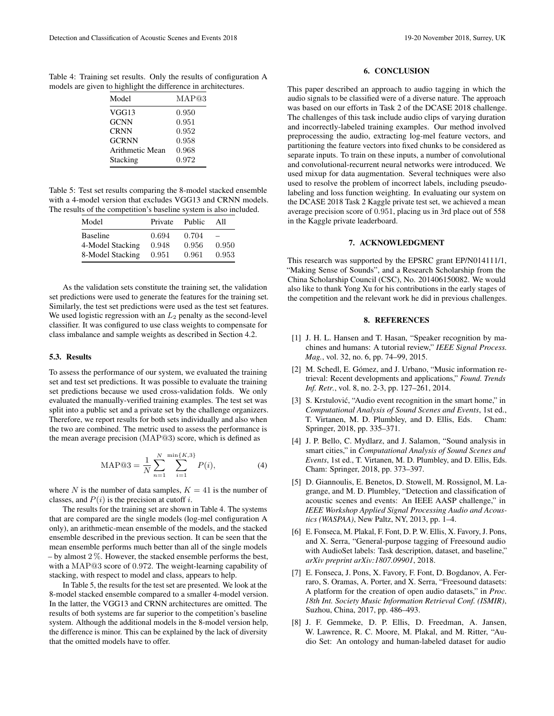Table 4: Training set results. Only the results of configuration A models are given to highlight the difference in architectures.

| Model           | MAP@3 |  |
|-----------------|-------|--|
| VGG13           | 0.950 |  |
| <b>GCNN</b>     | 0.951 |  |
| <b>CRNN</b>     | 0.952 |  |
| <b>GCRNN</b>    | 0.958 |  |
| Arithmetic Mean | 0.968 |  |
| Stacking        | 0.972 |  |
|                 |       |  |

Table 5: Test set results comparing the 8-model stacked ensemble with a 4-model version that excludes VGG13 and CRNN models. The results of the competition's baseline system is also included.

| Model                                                   | Private                 | Public                  | All            |
|---------------------------------------------------------|-------------------------|-------------------------|----------------|
| <b>Baseline</b><br>4-Model Stacking<br>8-Model Stacking | 0.694<br>0.948<br>0.951 | 0.704<br>0.956<br>0.961 | 0.950<br>0.953 |

As the validation sets constitute the training set, the validation set predictions were used to generate the features for the training set. Similarly, the test set predictions were used as the test set features. We used logistic regression with an  $L_2$  penalty as the second-level classifier. It was configured to use class weights to compensate for class imbalance and sample weights as described in Section 4.2.

#### 5.3. Results

To assess the performance of our system, we evaluated the training set and test set predictions. It was possible to evaluate the training set predictions because we used cross-validation folds. We only evaluated the manually-verified training examples. The test set was split into a public set and a private set by the challenge organizers. Therefore, we report results for both sets individually and also when the two are combined. The metric used to assess the performance is the mean average precision (MAP@3) score, which is defined as

$$
MAP@3 = \frac{1}{N} \sum_{n=1}^{N} \sum_{i=1}^{\min\{K,3\}} P(i),
$$
 (4)

where N is the number of data samples,  $K = 41$  is the number of classes, and  $P(i)$  is the precision at cutoff i.

The results for the training set are shown in Table 4. The systems that are compared are the single models (log-mel configuration A only), an arithmetic-mean ensemble of the models, and the stacked ensemble described in the previous section. It can be seen that the mean ensemble performs much better than all of the single models  $-$  by almost  $2\%$ . However, the stacked ensemble performs the best, with a MAP@3 score of 0.972. The weight-learning capability of stacking, with respect to model and class, appears to help.

In Table 5, the results for the test set are presented. We look at the 8-model stacked ensemble compared to a smaller 4-model version. In the latter, the VGG13 and CRNN architectures are omitted. The results of both systems are far superior to the competition's baseline system. Although the additional models in the 8-model version help, the difference is minor. This can be explained by the lack of diversity that the omitted models have to offer.

## 6. CONCLUSION

This paper described an approach to audio tagging in which the audio signals to be classified were of a diverse nature. The approach was based on our efforts in Task 2 of the DCASE 2018 challenge. The challenges of this task include audio clips of varying duration and incorrectly-labeled training examples. Our method involved preprocessing the audio, extracting log-mel feature vectors, and partitioning the feature vectors into fixed chunks to be considered as separate inputs. To train on these inputs, a number of convolutional and convolutional-recurrent neural networks were introduced. We used mixup for data augmentation. Several techniques were also used to resolve the problem of incorrect labels, including pseudolabeling and loss function weighting. In evaluating our system on the DCASE 2018 Task 2 Kaggle private test set, we achieved a mean average precision score of 0.951, placing us in 3rd place out of 558 in the Kaggle private leaderboard.

## 7. ACKNOWLEDGMENT

This research was supported by the EPSRC grant EP/N014111/1, "Making Sense of Sounds", and a Research Scholarship from the China Scholarship Council (CSC), No. 201406150082. We would also like to thank Yong Xu for his contributions in the early stages of the competition and the relevant work he did in previous challenges.

#### 8. REFERENCES

- [1] J. H. L. Hansen and T. Hasan, "Speaker recognition by machines and humans: A tutorial review," *IEEE Signal Process. Mag.*, vol. 32, no. 6, pp. 74–99, 2015.
- [2] M. Schedl, E. Gómez, and J. Urbano, "Music information retrieval: Recent developments and applications," *Found. Trends Inf. Retr.*, vol. 8, no. 2-3, pp. 127–261, 2014.
- [3] S. Krstulović, "Audio event recognition in the smart home," in *Computational Analysis of Sound Scenes and Events*, 1st ed., T. Virtanen, M. D. Plumbley, and D. Ellis, Eds. Cham: Springer, 2018, pp. 335–371.
- [4] J. P. Bello, C. Mydlarz, and J. Salamon, "Sound analysis in smart cities," in *Computational Analysis of Sound Scenes and Events*, 1st ed., T. Virtanen, M. D. Plumbley, and D. Ellis, Eds. Cham: Springer, 2018, pp. 373–397.
- [5] D. Giannoulis, E. Benetos, D. Stowell, M. Rossignol, M. Lagrange, and M. D. Plumbley, "Detection and classification of acoustic scenes and events: An IEEE AASP challenge," in *IEEE Workshop Applied Signal Processing Audio and Acoustics (WASPAA)*, New Paltz, NY, 2013, pp. 1–4.
- [6] E. Fonseca, M. Plakal, F. Font, D. P. W. Ellis, X. Favory, J. Pons, and X. Serra, "General-purpose tagging of Freesound audio with AudioSet labels: Task description, dataset, and baseline," *arXiv preprint arXiv:1807.09901*, 2018.
- [7] E. Fonseca, J. Pons, X. Favory, F. Font, D. Bogdanov, A. Ferraro, S. Oramas, A. Porter, and X. Serra, "Freesound datasets: A platform for the creation of open audio datasets," in *Proc. 18th Int. Society Music Information Retrieval Conf. (ISMIR)*, Suzhou, China, 2017, pp. 486–493.
- [8] J. F. Gemmeke, D. P. Ellis, D. Freedman, A. Jansen, W. Lawrence, R. C. Moore, M. Plakal, and M. Ritter, "Audio Set: An ontology and human-labeled dataset for audio